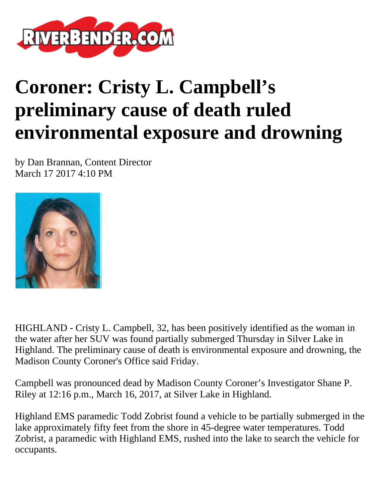

## **Coroner: Cristy L. Campbell's preliminary cause of death ruled environmental exposure and drowning**

by Dan Brannan, Content Director March 17 2017 4:10 PM



HIGHLAND - Cristy L. Campbell, 32, has been positively identified as the woman in the water after her SUV was found partially submerged Thursday in Silver Lake in Highland. The preliminary cause of death is environmental exposure and drowning, the Madison County Coroner's Office said Friday.

Campbell was pronounced dead by Madison County Coroner's Investigator Shane P. Riley at 12:16 p.m., March 16, 2017, at Silver Lake in Highland.

Highland EMS paramedic Todd Zobrist found a vehicle to be partially submerged in the lake approximately fifty feet from the shore in 45-degree water temperatures. Todd Zobrist, a paramedic with Highland EMS, rushed into the lake to search the vehicle for occupants.